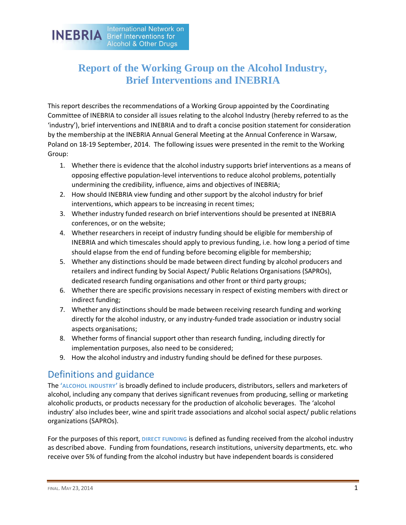International Network on **INEBRIA** Brief Interventions for **Alcohol & Other Drugs** 

# **Report of the Working Group on the Alcohol Industry, Brief Interventions and INEBRIA**

This report describes the recommendations of a Working Group appointed by the Coordinating Committee of INEBRIA to consider all issues relating to the alcohol Industry (hereby referred to as the 'industry'), brief interventions and INEBRIA and to draft a concise position statement for consideration by the membership at the INEBRIA Annual General Meeting at the Annual Conference in Warsaw, Poland on 18-19 September, 2014. The following issues were presented in the remit to the Working Group:

- 1. Whether there is evidence that the alcohol industry supports brief interventions as a means of opposing effective population-level interventions to reduce alcohol problems, potentially undermining the credibility, influence, aims and objectives of INEBRIA;
- 2. How should INEBRIA view funding and other support by the alcohol industry for brief interventions, which appears to be increasing in recent times;
- 3. Whether industry funded research on brief interventions should be presented at INEBRIA conferences, or on the website;
- 4. Whether researchers in receipt of industry funding should be eligible for membership of INEBRIA and which timescales should apply to previous funding, i.e. how long a period of time should elapse from the end of funding before becoming eligible for membership;
- 5. Whether any distinctions should be made between direct funding by alcohol producers and retailers and indirect funding by Social Aspect/ Public Relations Organisations (SAPROs), dedicated research funding organisations and other front or third party groups;
- 6. Whether there are specific provisions necessary in respect of existing members with direct or indirect funding;
- 7. Whether any distinctions should be made between receiving research funding and working directly for the alcohol industry, or any industry-funded trade association or industry social aspects organisations;
- 8. Whether forms of financial support other than research funding, including directly for implementation purposes, also need to be considered;
- 9. How the alcohol industry and industry funding should be defined for these purposes.

# Definitions and guidance

The **'ALCOHOL INDUSTRY'** is broadly defined to include producers, distributors, sellers and marketers of alcohol, including any company that derives significant revenues from producing, selling or marketing alcoholic products, or products necessary for the production of alcoholic beverages. The 'alcohol industry' also includes beer, wine and spirit trade associations and alcohol social aspect/ public relations organizations (SAPROs).

For the purposes of this report, **DIRECT FUNDING** is defined as funding received from the alcohol industry as described above. Funding from foundations, research institutions, university departments, etc. who receive over 5% of funding from the alcohol industry but have independent boards is considered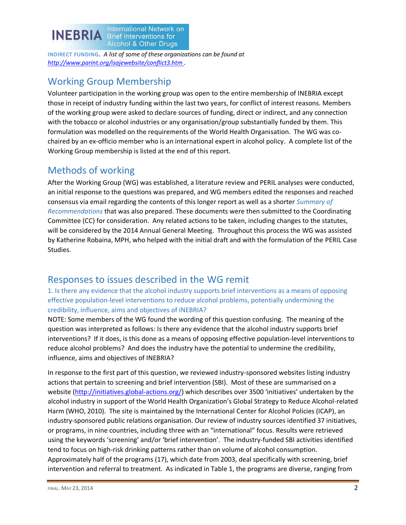

**INDIRECT FUNDING**. *A list of some of these organizations can be found at <http://www.parint.org/isajewebsite/conflict3.htm> .*

# Working Group Membership

Volunteer participation in the working group was open to the entire membership of INEBRIA except those in receipt of industry funding within the last two years, for conflict of interest reasons. Members of the working group were asked to declare sources of funding, direct or indirect, and any connection with the tobacco or alcohol industries or any organisation/group substantially funded by them. This formulation was modelled on the requirements of the World Health Organisation. The WG was cochaired by an ex-officio member who is an international expert in alcohol policy. A complete list of the Working Group membership is listed at the end of this report.

# Methods of working

After the Working Group (WG) was established, a literature review and PERIL analyses were conducted, an initial response to the questions was prepared, and WG members edited the responses and reached consensus via email regarding the contents of this longer report as well as a shorter *Summary of Recommendations* that was also prepared. These documents were then submitted to the Coordinating Committee (CC) for consideration. Any related actions to be taken, including changes to the statutes, will be considered by the 2014 Annual General Meeting. Throughout this process the WG was assisted by Katherine Robaina, MPH, who helped with the initial draft and with the formulation of the PERIL Case Studies.

# Responses to issues described in the WG remit

1. Is there any evidence that the alcohol industry supports brief interventions as a means of opposing effective population-level interventions to reduce alcohol problems, potentially undermining the credibility, influence, aims and objectives of INEBRIA?

NOTE: Some members of the WG found the wording of this question confusing. The meaning of the question was interpreted as follows: Is there any evidence that the alcohol industry supports brief interventions? If it does, is this done as a means of opposing effective population-level interventions to reduce alcohol problems? And does the industry have the potential to undermine the credibility, influence, aims and objectives of INEBRIA?

In response to the first part of this question, we reviewed industry-sponsored websites listing industry actions that pertain to screening and brief intervention (SBI). Most of these are summarised on a website [\(http://initiatives.global-actions.org/](http://initiatives.global-actions.org/)) which describes over 3500 'initiatives' undertaken by the alcohol industry in support of the World Health Organization's Global Strategy to Reduce Alcohol-related Harm (WHO, 2010). The site is maintained by the International Center for Alcohol Policies (ICAP), an industry-sponsored public relations organisation. Our review of industry sources identified 37 initiatives, or programs, in nine countries, including three with an "international" focus. Results were retrieved using the keywords 'screening' and/or 'brief intervention'. The industry-funded SBI activities identified tend to focus on high-risk drinking patterns rather than on volume of alcohol consumption. Approximately half of the programs (17), which date from 2003, deal specifically with screening, brief intervention and referral to treatment. As indicated in Table 1, the programs are diverse, ranging from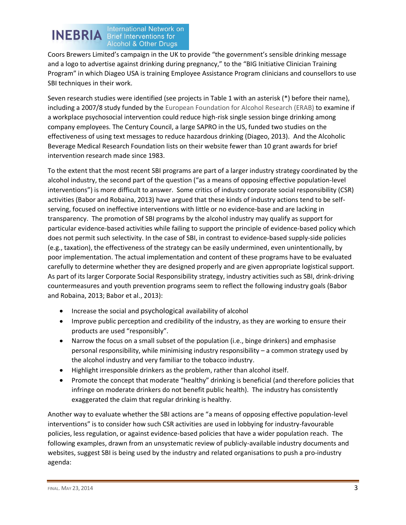# **INEBRIA International Network on Alcohol & Other Drugs**

Coors Brewers Limited's campaign in the UK to provide "the government's sensible drinking message and a logo to advertise against drinking during pregnancy," to the "BIG Initiative Clinician Training Program" in which Diageo USA is training Employee Assistance Program clinicians and counsellors to use SBI techniques in their work.

Seven research studies were identified (see projects in Table 1 with an asterisk (\*) before their name), including a 2007/8 study funded by the European Foundation for Alcohol Research (ERAB) to examine if a workplace psychosocial intervention could reduce high-risk single session binge drinking among company employees. The Century Council, a large SAPRO in the US, funded two studies on the effectiveness of using text messages to reduce hazardous drinking (Diageo, 2013). And the Alcoholic Beverage Medical Research Foundation lists on their website fewer than 10 grant awards for brief intervention research made since 1983.

To the extent that the most recent SBI programs are part of a larger industry strategy coordinated by the alcohol industry, the second part of the question ("as a means of opposing effective population-level interventions") is more difficult to answer. Some critics of industry corporate social responsibility (CSR) activities (Babor and Robaina, 2013) have argued that these kinds of industry actions tend to be selfserving, focused on ineffective interventions with little or no evidence-base and are lacking in transparency. The promotion of SBI programs by the alcohol industry may qualify as support for particular evidence-based activities while failing to support the principle of evidence-based policy which does not permit such selectivity. In the case of SBI, in contrast to evidence-based supply-side policies (e.g., taxation), the effectiveness of the strategy can be easily undermined, even unintentionally, by poor implementation. The actual implementation and content of these programs have to be evaluated carefully to determine whether they are designed properly and are given appropriate logistical support. As part of its larger Corporate Social Responsibility strategy, industry activities such as SBI, drink-driving countermeasures and youth prevention programs seem to reflect the following industry goals (Babor and Robaina, 2013; Babor et al., 2013):

- Increase the social and psychological availability of alcohol
- Improve public perception and credibility of the industry, as they are working to ensure their products are used "responsibly".
- Narrow the focus on a small subset of the population (i.e., binge drinkers) and emphasise personal responsibility, while minimising industry responsibility – a common strategy used by the alcohol industry and very familiar to the tobacco industry.
- Highlight irresponsible drinkers as the problem, rather than alcohol itself.
- Promote the concept that moderate "healthy" drinking is beneficial (and therefore policies that infringe on moderate drinkers do not benefit public health). The industry has consistently exaggerated the claim that regular drinking is healthy.

Another way to evaluate whether the SBI actions are "a means of opposing effective population-level interventions" is to consider how such CSR activities are used in lobbying for industry-favourable policies, less regulation, or against evidence-based policies that have a wider population reach. The following examples, drawn from an unsystematic review of publicly-available industry documents and websites, suggest SBI is being used by the industry and related organisations to push a pro-industry agenda: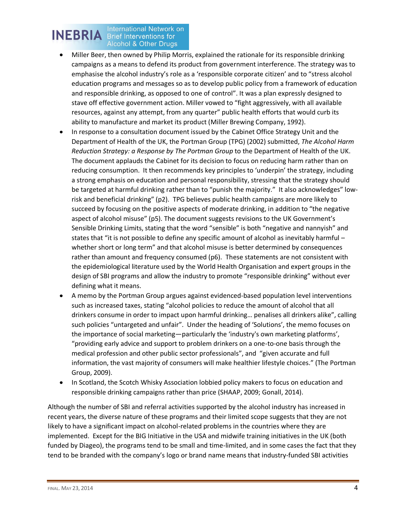#### International Network on **INEBRIA** Brief Interventions for **Alcohol & Other Drugs**

- Miller Beer, then owned by Philip Morris, explained the rationale for its responsible drinking campaigns as a means to defend its product from government interference. The strategy was to emphasise the alcohol industry's role as a 'responsible corporate citizen' and to "stress alcohol education programs and messages so as to develop public policy from a framework of education and responsible drinking, as opposed to one of control". It was a plan expressly designed to stave off effective government action. Miller vowed to "fight aggressively, with all available resources, against any attempt, from any quarter" public health efforts that would curb its ability to manufacture and market its product (Miller Brewing Company, 1992).
- In response to a consultation document issued by the Cabinet Office Strategy Unit and the Department of Health of the UK, the Portman Group (TPG) (2002) submitted, *The Alcohol Harm Reduction Strategy: a Response by The Portman Group* to the Department of Health of the UK. The document applauds the Cabinet for its decision to focus on reducing harm rather than on reducing consumption. It then recommends key principles to 'underpin' the strategy, including a strong emphasis on education and personal responsibility, stressing that the strategy should be targeted at harmful drinking rather than to "punish the majority." It also acknowledges" lowrisk and beneficial drinking" (p2). TPG believes public health campaigns are more likely to succeed by focusing on the positive aspects of moderate drinking, in addition to "the negative aspect of alcohol misuse" (p5). The document suggests revisions to the UK Government's Sensible Drinking Limits, stating that the word "sensible" is both "negative and nannyish" and states that "it is not possible to define any specific amount of alcohol as inevitably harmful – whether short or long term" and that alcohol misuse is better determined by consequences rather than amount and frequency consumed (p6). These statements are not consistent with the epidemiological literature used by the World Health Organisation and expert groups in the design of SBI programs and allow the industry to promote "responsible drinking" without ever defining what it means.
- A memo by the Portman Group argues against evidenced-based population level interventions such as increased taxes, stating "alcohol policies to reduce the amount of alcohol that all drinkers consume in order to impact upon harmful drinking… penalises all drinkers alike", calling such policies "untargeted and unfair". Under the heading of 'Solutions', the memo focuses on the importance of social marketing—particularly the 'industry's own marketing platforms', "providing early advice and support to problem drinkers on a one-to-one basis through the medical profession and other public sector professionals", and "given accurate and full information, the vast majority of consumers will make healthier lifestyle choices." (The Portman Group, 2009).
- In Scotland, the Scotch Whisky Association lobbied policy makers to focus on education and responsible drinking campaigns rather than price (SHAAP, 2009; Gonall, 2014).

Although the number of SBI and referral activities supported by the alcohol industry has increased in recent years, the diverse nature of these programs and their limited scope suggests that they are not likely to have a significant impact on alcohol-related problems in the countries where they are implemented. Except for the BIG Initiative in the USA and midwife training initiatives in the UK (both funded by Diageo), the programs tend to be small and time-limited, and in some cases the fact that they tend to be branded with the company's logo or brand name means that industry-funded SBI activities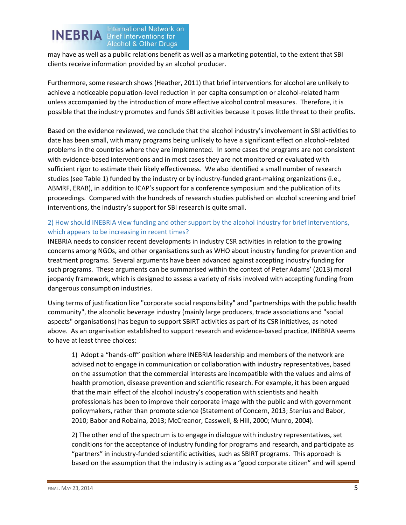

may have as well as a public relations benefit as well as a marketing potential, to the extent that SBI clients receive information provided by an alcohol producer.

Furthermore, some research shows (Heather, 2011) that brief interventions for alcohol are unlikely to achieve a noticeable population-level reduction in per capita consumption or alcohol-related harm unless accompanied by the introduction of more effective alcohol control measures. Therefore, it is possible that the industry promotes and funds SBI activities because it poses little threat to their profits.

Based on the evidence reviewed, we conclude that the alcohol industry's involvement in SBI activities to date has been small, with many programs being unlikely to have a significant effect on alcohol-related problems in the countries where they are implemented. In some cases the programs are not consistent with evidence-based interventions and in most cases they are not monitored or evaluated with sufficient rigor to estimate their likely effectiveness. We also identified a small number of research studies (see Table 1) funded by the industry or by industry-funded grant-making organizations (i.e., ABMRF, ERAB), in addition to ICAP's support for a conference symposium and the publication of its proceedings. Compared with the hundreds of research studies published on alcohol screening and brief interventions, the industry's support for SBI research is quite small.

### 2) How should INEBRIA view funding and other support by the alcohol industry for brief interventions, which appears to be increasing in recent times?

INEBRIA needs to consider recent developments in industry CSR activities in relation to the growing concerns among NGOs, and other organisations such as WHO about industry funding for prevention and treatment programs. Several arguments have been advanced against accepting industry funding for such programs. These arguments can be summarised within the context of Peter Adams' (2013) moral jeopardy framework, which is designed to assess a variety of risks involved with accepting funding from dangerous consumption industries.

Using terms of justification like "corporate social responsibility" and "partnerships with the public health community", the alcoholic beverage industry (mainly large producers, trade associations and "social aspects" organisations) has begun to support SBIRT activities as part of its CSR initiatives, as noted above. As an organisation established to support research and evidence-based practice, INEBRIA seems to have at least three choices:

1) Adopt a "hands-off" position where INEBRIA leadership and members of the network are advised not to engage in communication or collaboration with industry representatives, based on the assumption that the commercial interests are incompatible with the values and aims of health promotion, disease prevention and scientific research. For example, it has been argued that the main effect of the alcohol industry's cooperation with scientists and health professionals has been to improve their corporate image with the public and with government policymakers, rather than promote science (Statement of Concern, 2013; Stenius and Babor, 2010; Babor and Robaina, 2013; McCreanor, Casswell, & Hill, 2000; Munro, 2004).

2) The other end of the spectrum is to engage in dialogue with industry representatives, set conditions for the acceptance of industry funding for programs and research, and participate as "partners" in industry-funded scientific activities, such as SBIRT programs. This approach is based on the assumption that the industry is acting as a "good corporate citizen" and will spend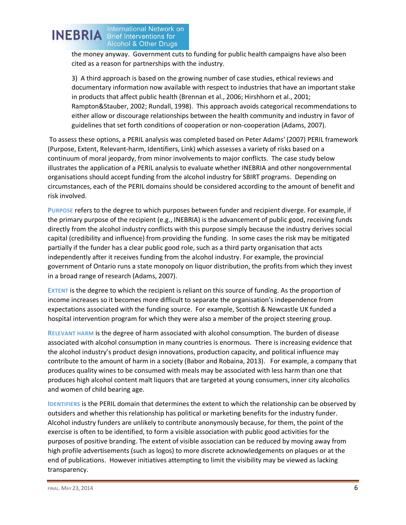

the money anyway. Government cuts to funding for public health campaigns have also been cited as a reason for partnerships with the industry.

3) A third approach is based on the growing number of case studies, ethical reviews and documentary information now available with respect to industries that have an important stake in products that affect public health (Brennan et al., 2006; Hirshhorn et al., 2001; Rampton&Stauber, 2002; Rundall, 1998). This approach avoids categorical recommendations to either allow or discourage relationships between the health community and industry in favor of guidelines that set forth conditions of cooperation or non-cooperation (Adams, 2007).

To assess these options, a PERIL analysis was completed based on Peter Adams' (2007) PERIL framework (Purpose, Extent, Relevant-harm, Identifiers, Link) which assesses a variety of risks based on a continuum of moral jeopardy, from minor involvements to major conflicts. The case study below illustrates the application of a PERIL analysis to evaluate whether INEBRIA and other nongovernmental organisations should accept funding from the alcohol industry for SBIRT programs. Depending on circumstances, each of the PERIL domains should be considered according to the amount of benefit and risk involved.

**PURPOSE** refers to the degree to which purposes between funder and recipient diverge. For example, if the primary purpose of the recipient (e.g., INEBRIA) is the advancement of public good, receiving funds directly from the alcohol industry conflicts with this purpose simply because the industry derives social capital (credibility and influence) from providing the funding. In some cases the risk may be mitigated partially if the funder has a clear public good role, such as a third party organisation that acts independently after it receives funding from the alcohol industry. For example, the provincial government of Ontario runs a state monopoly on liquor distribution, the profits from which they invest in a broad range of research (Adams, 2007).

**EXTENT** is the degree to which the recipient is reliant on this source of funding. As the proportion of income increases so it becomes more difficult to separate the organisation's independence from expectations associated with the funding source. For example, Scottish & Newcastle UK funded a hospital intervention program for which they were also a member of the project steering group.

**RELEVANT HARM** is the degree of harm associated with alcohol consumption. The burden of disease associated with alcohol consumption in many countries is enormous. There is increasing evidence that the alcohol industry's product design innovations, production capacity, and political influence may contribute to the amount of harm in a society (Babor and Robaina, 2013). For example, a company that produces quality wines to be consumed with meals may be associated with less harm than one that produces high alcohol content malt liquors that are targeted at young consumers, inner city alcoholics and women of child bearing age.

**IDENTIFIERS** is the PERIL domain that determines the extent to which the relationship can be observed by outsiders and whether this relationship has political or marketing benefits for the industry funder. Alcohol industry funders are unlikely to contribute anonymously because, for them, the point of the exercise is often to be identified, to form a visible association with public good activities for the purposes of positive branding. The extent of visible association can be reduced by moving away from high profile advertisements (such as logos) to more discrete acknowledgements on plaques or at the end of publications. However initiatives attempting to limit the visibility may be viewed as lacking transparency.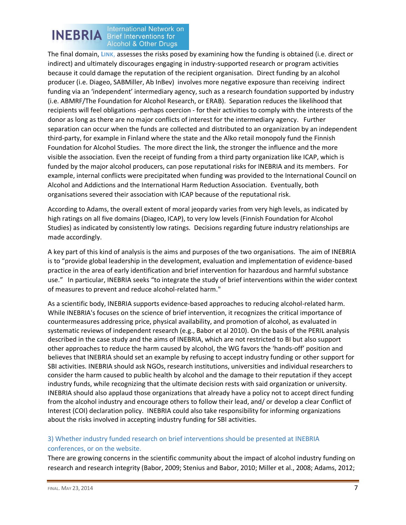#### International Network on **INEBRIA** Brief Interventions for **Alcohol & Other Drugs**

The final domain, **LINK**, assesses the risks posed by examining how the funding is obtained (i.e. direct or indirect) and ultimately discourages engaging in industry-supported research or program activities because it could damage the reputation of the recipient organisation. Direct funding by an alcohol producer (i.e. Diageo, SABMiller, Ab InBev) involves more negative exposure than receiving indirect funding via an 'independent' intermediary agency, such as a research foundation supported by industry (i.e. ABMRF/The Foundation for Alcohol Research, or ERAB). Separation reduces the likelihood that recipients will feel obligations -perhaps coercion - for their activities to comply with the interests of the donor as long as there are no major conflicts of interest for the intermediary agency. Further separation can occur when the funds are collected and distributed to an organization by an independent third-party, for example in Finland where the state and the Alko retail monopoly fund the Finnish Foundation for Alcohol Studies. The more direct the link, the stronger the influence and the more visible the association. Even the receipt of funding from a third party organization like ICAP, which is funded by the major alcohol producers, can pose reputational risks for INEBRIA and its members. For example, internal conflicts were precipitated when funding was provided to the International Council on Alcohol and Addictions and the International Harm Reduction Association. Eventually, both organisations severed their association with ICAP because of the reputational risk.

According to Adams, the overall extent of moral jeopardy varies from very high levels, as indicated by high ratings on all five domains (Diageo, ICAP), to very low levels (Finnish Foundation for Alcohol Studies) as indicated by consistently low ratings. Decisions regarding future industry relationships are made accordingly.

A key part of this kind of analysis is the aims and purposes of the two organisations. The aim of INEBRIA is to "provide global leadership in the development, evaluation and implementation of evidence-based practice in the area of early identification and brief intervention for hazardous and harmful substance use." In particular, INEBRIA seeks "to integrate the study of brief interventions within the wider context of measures to prevent and reduce alcohol-related harm."

As a scientific body, INEBRIA supports evidence-based approaches to reducing alcohol-related harm. While INEBRIA's focuses on the science of brief intervention, it recognizes the critical importance of countermeasures addressing price, physical availability, and promotion of alcohol, as evaluated in systematic reviews of independent research (e.g., Babor et al 2010). On the basis of the PERIL analysis described in the case study and the aims of INEBRIA, which are not restricted to BI but also support other approaches to reduce the harm caused by alcohol, the WG favors the 'hands-off' position and believes that INEBRIA should set an example by refusing to accept industry funding or other support for SBI activities. INEBRIA should ask NGOs, research institutions, universities and individual researchers to consider the harm caused to public health by alcohol and the damage to their reputation if they accept industry funds, while recognizing that the ultimate decision rests with said organization or university. INEBRIA should also applaud those organizations that already have a policy not to accept direct funding from the alcohol industry and encourage others to follow their lead, and/ or develop a clear Conflict of Interest (COI) declaration policy. INEBRIA could also take responsibility for informing organizations about the risks involved in accepting industry funding for SBI activities.

### 3) Whether industry funded research on brief interventions should be presented at INEBRIA conferences, or on the website.

There are growing concerns in the scientific community about the impact of alcohol industry funding on research and research integrity (Babor, 2009; Stenius and Babor, 2010; Miller et al., 2008; Adams, 2012;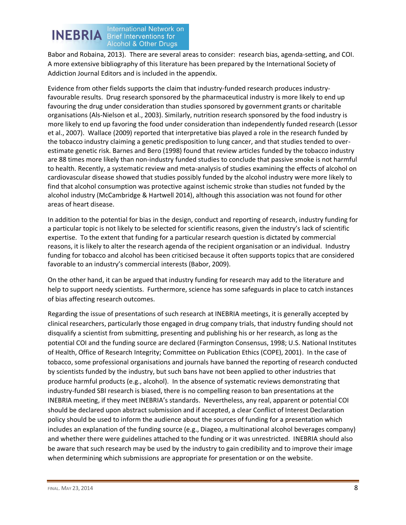

Babor and Robaina, 2013). There are several areas to consider: research bias, agenda-setting, and COI. A more extensive bibliography of this literature has been prepared by the International Society of Addiction Journal Editors and is included in the appendix.

Evidence from other fields supports the claim that industry-funded research produces industryfavourable results. Drug research sponsored by the pharmaceutical industry is more likely to end up favouring the drug under consideration than studies sponsored by government grants or charitable organisations (Als-Nielson et al., 2003). Similarly, nutrition research sponsored by the food industry is more likely to end up favoring the food under consideration than independently funded research (Lessor et al., 2007). Wallace (2009) reported that interpretative bias played a role in the research funded by the tobacco industry claiming a genetic predisposition to lung cancer, and that studies tended to overestimate genetic risk. Barnes and Bero (1998) found that review articles funded by the tobacco industry are 88 times more likely than non-industry funded studies to conclude that passive smoke is not harmful to health. Recently, a systematic review and meta-analysis of studies examining the effects of alcohol on cardiovascular disease showed that studies possibly funded by the alcohol industry were more likely to find that alcohol consumption was protective against ischemic stroke than studies not funded by the alcohol industry (McCambridge & Hartwell 2014), although this association was not found for other areas of heart disease.

In addition to the potential for bias in the design, conduct and reporting of research, industry funding for a particular topic is not likely to be selected for scientific reasons, given the industry's lack of scientific expertise. To the extent that funding for a particular research question is dictated by commercial reasons, it is likely to alter the research agenda of the recipient organisation or an individual. Industry funding for tobacco and alcohol has been criticised because it often supports topics that are considered favorable to an industry's commercial interests (Babor, 2009).

On the other hand, it can be argued that industry funding for research may add to the literature and help to support needy scientists. Furthermore, science has some safeguards in place to catch instances of bias affecting research outcomes.

Regarding the issue of presentations of such research at INEBRIA meetings, it is generally accepted by clinical researchers, particularly those engaged in drug company trials, that industry funding should not disqualify a scientist from submitting, presenting and publishing his or her research, as long as the potential COI and the funding source are declared (Farmington Consensus, 1998; U.S. National Institutes of Health, Office of Research Integrity; Committee on Publication Ethics (COPE), 2001). In the case of tobacco, some professional organisations and journals have banned the reporting of research conducted by scientists funded by the industry, but such bans have not been applied to other industries that produce harmful products (e.g., alcohol). In the absence of systematic reviews demonstrating that industry-funded SBI research is biased, there is no compelling reason to ban presentations at the INEBRIA meeting, if they meet INEBRIA's standards. Nevertheless, any real, apparent or potential COI should be declared upon abstract submission and if accepted, a clear Conflict of Interest Declaration policy should be used to inform the audience about the sources of funding for a presentation which includes an explanation of the funding source (e.g., Diageo, a multinational alcohol beverages company) and whether there were guidelines attached to the funding or it was unrestricted. INEBRIA should also be aware that such research may be used by the industry to gain credibility and to improve their image when determining which submissions are appropriate for presentation or on the website.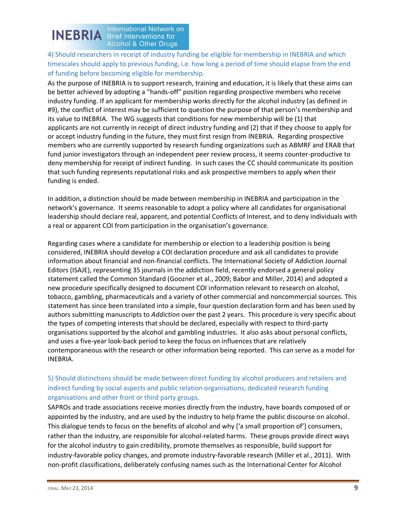

**INEBRIA International Network on Alcohol & Other Drugs** 

4) Should researchers in receipt of industry funding be eligible for membership in INEBRIA and which timescales should apply to previous funding, i.e. how long a period of time should elapse from the end of funding before becoming eligible for membership.

As the purpose of INEBRIA is to support research, training and education, it is likely that these aims can be better achieved by adopting a "hands-off" position regarding prospective members who receive industry funding. If an applicant for membership works directly for the alcohol industry (as defined in #9), the conflict of interest may be sufficient to question the purpose of that person's membership and its value to INEBRIA. The WG suggests that conditions for new membership will be (1) that applicants are not currently in receipt of direct industry funding and (2) that if they choose to apply for or accept industry funding in the future, they must first resign from INEBRIA. Regarding prospective members who are currently supported by research funding organizations such as ABMRF and ERAB that fund junior investigators through an independent peer review process, it seems counter-productive to deny membership for receipt of indirect funding. In such cases the CC should communicate its position that such funding represents reputational risks and ask prospective members to apply when their funding is ended.

In addition, a distinction should be made between membership in INEBRIA and participation in the network's governance. It seems reasonable to adopt a policy where all candidates for organisational leadership should declare real, apparent, and potential Conflicts of Interest, and to deny individuals with a real or apparent COI from participation in the organisation's governance.

Regarding cases where a candidate for membership or election to a leadership position is being considered, INEBRIA should develop a COI declaration procedure and ask all candidates to provide information about financial and non-financial conflicts. The International Society of Addiction Journal Editors (ISAJE), representing 35 journals in the addiction field, recently endorsed a general policy statement called the Common Standard (Goozner et al., 2009; Babor and Miller, 2014) and adopted a new procedure specifically designed to document COI information relevant to research on alcohol, tobacco, gambling, pharmaceuticals and a variety of other commercial and noncommercial sources. This statement has since been translated into a simple, four question declaration form and has been used by authors submitting manuscripts to *Addiction* over the past 2 years. This procedure is very specific about the types of competing interests that should be declared, especially with respect to third-party organisations supported by the alcohol and gambling industries. It also asks about personal conflicts, and uses a five-year look-back period to keep the focus on influences that are relatively contemporaneous with the research or other information being reported. This can serve as a model for INEBRIA.

### 5) Should distinctions should be made between direct funding by alcohol producers and retailers and indirect funding by social aspects and public relation organisations, dedicated research funding organisations and other front or third party groups.

SAPROs and trade associations receive monies directly from the industry, have boards composed of or appointed by the industry, and are used by the industry to help frame the public discourse on alcohol. This dialogue tends to focus on the benefits of alcohol and why ['a small proportion of'] consumers, rather than the industry, are responsible for alcohol-related harms. These groups provide direct ways for the alcohol industry to gain credibility, promote themselves as responsible, build support for industry-favorable policy changes, and promote industry-favorable research (Miller et al., 2011). With non-profit classifications, deliberately confusing names such as the International Center for Alcohol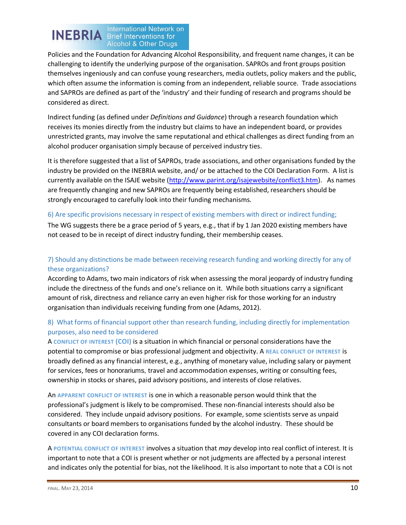# **INEBRIA International Network on Alcohol & Other Drugs**

Policies and the Foundation for Advancing Alcohol Responsibility, and frequent name changes, it can be challenging to identify the underlying purpose of the organisation. SAPROs and front groups position themselves ingeniously and can confuse young researchers, media outlets, policy makers and the public, which often assume the information is coming from an independent, reliable source. Trade associations and SAPROs are defined as part of the 'industry' and their funding of research and programs should be considered as direct.

Indirect funding (as defined under *Definitions and Guidance*) through a research foundation which receives its monies directly from the industry but claims to have an independent board, or provides unrestricted grants, may involve the same reputational and ethical challenges as direct funding from an alcohol producer organisation simply because of perceived industry ties.

It is therefore suggested that a list of SAPROs, trade associations, and other organisations funded by the industry be provided on the INEBRIA website, and/ or be attached to the COI Declaration Form. A list is currently available on the ISAJE website [\(http://www.parint.org/isajewebsite/conflict3.htm\)](http://www.parint.org/isajewebsite/conflict3.htm). As names are frequently changing and new SAPROs are frequently being established, researchers should be strongly encouraged to carefully look into their funding mechanisms.

### 6) Are specific provisions necessary in respect of existing members with direct or indirect funding;

The WG suggests there be a grace period of 5 years, e.g., that if by 1 Jan 2020 existing members have not ceased to be in receipt of direct industry funding, their membership ceases.

### 7) Should any distinctions be made between receiving research funding and working directly for any of these organizations?

According to Adams, two main indicators of risk when assessing the moral jeopardy of industry funding include the directness of the funds and one's reliance on it. While both situations carry a significant amount of risk, directness and reliance carry an even higher risk for those working for an industry organisation than individuals receiving funding from one (Adams, 2012).

### 8) What forms of financial support other than research funding, including directly for implementation purposes, also need to be considered

A **CONFLICT OF INTEREST (COI)** is a situation in which financial or personal considerations have the potential to compromise or bias professional judgment and objectivity. A **REAL CONFLICT OF INTEREST** is broadly defined as any financial interest, e.g., anything of monetary value, including salary or payment for services, fees or honorariums, travel and accommodation expenses, writing or consulting fees, ownership in stocks or shares, paid advisory positions, and interests of close relatives.

An **APPARENT CONFLICT OF INTEREST** is one in which a reasonable person would think that the professional's judgment is likely to be compromised. These non-financial interests should also be considered. They include unpaid advisory positions. For example, some scientists serve as unpaid consultants or board members to organisations funded by the alcohol industry. These should be covered in any COI declaration forms.

A **POTENTIAL CONFLICT OF INTEREST** involves a situation that *may* develop into real conflict of interest. It is important to note that a COI is present whether or not judgments are affected by a personal interest and indicates only the potential for bias, not the likelihood. It is also important to note that a COI is not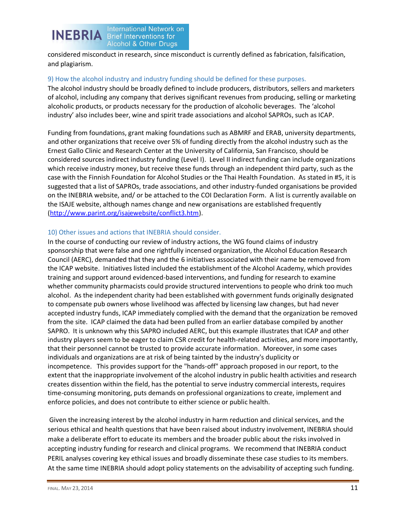

considered misconduct in research, since misconduct is currently defined as fabrication, falsification, and plagiarism.

#### 9) How the alcohol industry and industry funding should be defined for these purposes.

The alcohol industry should be broadly defined to include producers, distributors, sellers and marketers of alcohol, including any company that derives significant revenues from producing, selling or marketing alcoholic products, or products necessary for the production of alcoholic beverages. The 'alcohol industry' also includes beer, wine and spirit trade associations and alcohol SAPROs, such as ICAP.

Funding from foundations, grant making foundations such as ABMRF and ERAB, university departments, and other organizations that receive over 5% of funding directly from the alcohol industry such as the Ernest Gallo Clinic and Research Center at the University of California, San Francisco, should be considered sources indirect industry funding (Level I). Level II indirect funding can include organizations which receive industry money, but receive these funds through an independent third party, such as the case with the Finnish Foundation for Alcohol Studies or the Thai Health Foundation. As stated in #5, it is suggested that a list of SAPROs, trade associations, and other industry-funded organisations be provided on the INEBRIA website, and/ or be attached to the COI Declaration Form. A list is currently available on the ISAJE website, although names change and new organisations are established frequently [\(http://www.parint.org/isajewebsite/conflict3.htm\)](http://www.parint.org/isajewebsite/conflict3.htm).

#### 10) Other issues and actions that INEBRIA should consider.

In the course of conducting our review of industry actions, the WG found claims of industry sponsorship that were false and one rightfully incensed organization, the Alcohol Education Research Council (AERC), demanded that they and the 6 initiatives associated with their name be removed from the ICAP website. Initiatives listed included the establishment of the Alcohol Academy, which provides training and support around evidenced-based interventions, and funding for research to examine whether community pharmacists could provide structured interventions to people who drink too much alcohol. As the independent charity had been established with government funds originally designated to compensate pub owners whose livelihood was affected by licensing law changes, but had never accepted industry funds, ICAP immediately complied with the demand that the organization be removed from the site. ICAP claimed the data had been pulled from an earlier database compiled by another SAPRO. It is unknown why this SAPRO included AERC, but this example illustrates that ICAP and other industry players seem to be eager to claim CSR credit for health-related activities, and more importantly, that their personnel cannot be trusted to provide accurate information. Moreover, in some cases individuals and organizations are at risk of being tainted by the industry's duplicity or incompetence. This provides support for the "hands-off" approach proposed in our report, to the extent that the inappropriate involvement of the alcohol industry in public health activities and research creates dissention within the field, has the potential to serve industry commercial interests, requires time-consuming monitoring, puts demands on professional organizations to create, implement and enforce policies, and does not contribute to either science or public health.

Given the increasing interest by the alcohol industry in harm reduction and clinical services, and the serious ethical and health questions that have been raised about industry involvement, INEBRIA should make a deliberate effort to educate its members and the broader public about the risks involved in accepting industry funding for research and clinical programs. We recommend that INEBRIA conduct PERIL analyses covering key ethical issues and broadly disseminate these case studies to its members. At the same time INEBRIA should adopt policy statements on the advisability of accepting such funding.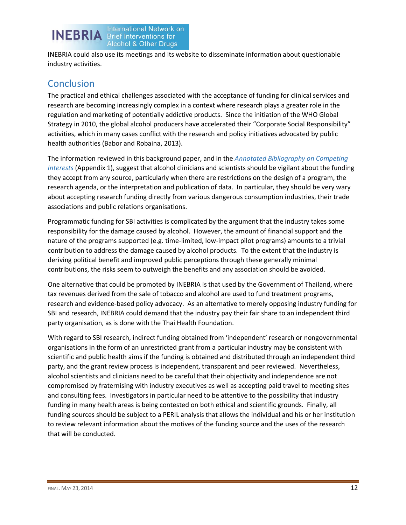

INEBRIA could also use its meetings and its website to disseminate information about questionable industry activities.

# **Conclusion**

The practical and ethical challenges associated with the acceptance of funding for clinical services and research are becoming increasingly complex in a context where research plays a greater role in the regulation and marketing of potentially addictive products. Since the initiation of the WHO Global Strategy in 2010, the global alcohol producers have accelerated their "Corporate Social Responsibility" activities, which in many cases conflict with the research and policy initiatives advocated by public health authorities (Babor and Robaina, 2013).

The information reviewed in this background paper, and in the *Annotated Bibliography on Competing Interests* (Appendix 1), suggest that alcohol clinicians and scientists should be vigilant about the funding they accept from any source, particularly when there are restrictions on the design of a program, the research agenda, or the interpretation and publication of data. In particular, they should be very wary about accepting research funding directly from various dangerous consumption industries, their trade associations and public relations organisations.

Programmatic funding for SBI activities is complicated by the argument that the industry takes some responsibility for the damage caused by alcohol. However, the amount of financial support and the nature of the programs supported (e.g. time-limited, low-impact pilot programs) amounts to a trivial contribution to address the damage caused by alcohol products. To the extent that the industry is deriving political benefit and improved public perceptions through these generally minimal contributions, the risks seem to outweigh the benefits and any association should be avoided.

One alternative that could be promoted by INEBRIA is that used by the Government of Thailand, where tax revenues derived from the sale of tobacco and alcohol are used to fund treatment programs, research and evidence-based policy advocacy. As an alternative to merely opposing industry funding for SBI and research, INEBRIA could demand that the industry pay their fair share to an independent third party organisation, as is done with the Thai Health Foundation.

With regard to SBI research, indirect funding obtained from 'independent' research or nongovernmental organisations in the form of an unrestricted grant from a particular industry may be consistent with scientific and public health aims if the funding is obtained and distributed through an independent third party, and the grant review process is independent, transparent and peer reviewed. Nevertheless, alcohol scientists and clinicians need to be careful that their objectivity and independence are not compromised by fraternising with industry executives as well as accepting paid travel to meeting sites and consulting fees. Investigators in particular need to be attentive to the possibility that industry funding in many health areas is being contested on both ethical and scientific grounds. Finally, all funding sources should be subject to a PERIL analysis that allows the individual and his or her institution to review relevant information about the motives of the funding source and the uses of the research that will be conducted.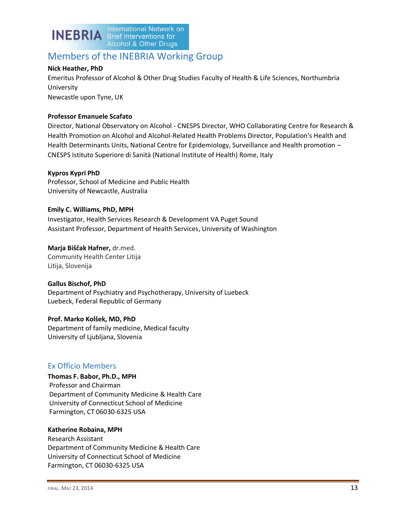

### Members of the INEBRIA Working Group

#### **Nick Heather, PhD**

Emeritus Professor of Alcohol & Other Drug Studies Faculty of Health & Life Sciences, Northumbria University Newcastle upon Tyne, UK

#### **Professor Emanuele Scafato**

Director, National Observatory on Alcohol - CNESPS Director, WHO Collaborating Centre for Research & Health Promotion on Alcohol and Alcohol-Related Health Problems Director, Population's Health and Health Determinants Units, National Centre for Epidemiology, Surveillance and Health promotion – CNESPS Istituto Superiore di Sanità (National Institute of Health) Rome, Italy

#### **Kypros Kypri PhD**

Professor, School of Medicine and Public Health University of Newcastle, Australia

**Emily C. Williams, PhD, MPH** Investigator, Health Services Research & Development VA Puget Sound Assistant Professor, Department of Health Services, University of Washington

**Marja Biščak Hafner,** dr.med. Community Health Center Litija Litija, Slovenija

#### **Gallus Bischof, PhD**

Department of Psychiatry and Psychotherapy, University of Luebeck Luebeck, Federal Republic of Germany

**Prof. Marko Kolšek, MD, PhD** Department of family medicine, Medical faculty University of Ljubljana, Slovenia

### Ex Officio Members

**Thomas F. Babor, Ph.D., MPH** Professor and Chairman Department of Community Medicine & Health Care University of Connecticut School of Medicine Farmington, CT 06030-6325 USA

#### **Katherine Robaina, MPH**

Research Assistant Department of Community Medicine & Health Care University of Connecticut School of Medicine Farmington, CT 06030-6325 USA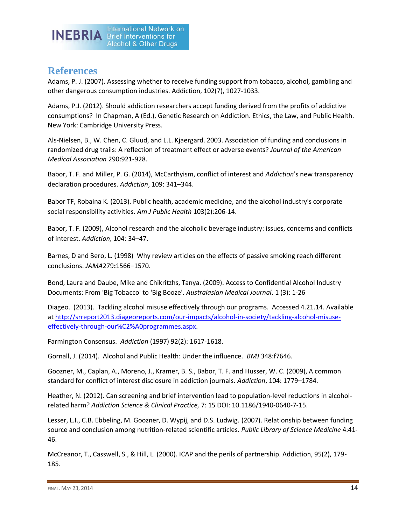

## **References**

Adams, P. J. (2007). Assessing whether to receive funding support from tobacco, alcohol, gambling and other dangerous consumption industries. Addiction, 102(7), 1027-1033.

Adams, P.J. (2012). Should addiction researchers accept funding derived from the profits of addictive consumptions? In Chapman, A (Ed.), Genetic Research on Addiction. Ethics, the Law, and Public Health. New York: Cambridge University Press.

Als-Nielsen, B., W. Chen, C. Gluud, and L.L. Kjaergard. 2003. Association of funding and conclusions in randomized drug trails: A reflection of treatment effect or adverse events? *Journal of the American Medical Association* 290:921-928.

Babor, T. F. and Miller, P. G. (2014), McCarthyism, conflict of interest and *Addiction*'s new transparency declaration procedures. *Addiction*, 109: 341–344.

Babor TF, Robaina K. (2013). Public health, academic medicine, and the alcohol industry's corporate social responsibility activities. *Am J Public Health* 103(2):206-14.

Babor, T. F. (2009), Alcohol research and the alcoholic beverage industry: issues, concerns and conflicts of interest. *Addiction,* 104: 34–47.

Barnes, D and Bero, L. (1998) Why review articles on the effects of passive smoking reach different conclusions. *JAMA*279**:**1566–1570.

Bond, Laura and Daube, Mike and Chikritzhs, Tanya. (2009). Access to Confidential Alcohol Industry Documents: From 'Big Tobacco' to 'Big Booze'. *Australasian Medical Journal*. 1 (3): 1-26

Diageo. (2013). Tackling alcohol misuse effectively through our programs. Accessed 4.21.14. Available a[t http://srreport2013.diageoreports.com/our-impacts/alcohol-in-society/tackling-alcohol-misuse](http://srreport2013.diageoreports.com/our-impacts/alcohol-in-society/tackling-alcohol-misuse-effectively-through-our%C2%A0programmes.aspx)[effectively-through-our%C2%A0programmes.aspx.](http://srreport2013.diageoreports.com/our-impacts/alcohol-in-society/tackling-alcohol-misuse-effectively-through-our%C2%A0programmes.aspx)

Farmington Consensus. *Addiction* (1997) 92(2): 1617-1618.

Gornall, J. (2014). Alcohol and Public Health: Under the influence. *BMJ* 348:f7646.

Goozner, M., Caplan, A., Moreno, J., Kramer, B. S., Babor, T. F. and Husser, W. C. (2009), A common standard for conflict of interest disclosure in addiction journals. *Addiction*, 104: 1779–1784.

Heather, N. (2012). Can screening and brief intervention lead to population-level reductions in alcoholrelated harm? *Addiction Science & Clinical Practice,* 7: 15 DOI: 10.1186/1940-0640-7-15.

Lesser, L.I., C.B. Ebbeling, M. Goozner, D. Wypij, and D.S. Ludwig. (2007). Relationship between funding source and conclusion among nutrition-related scientific articles. *Public Library of Science Medicine* 4:41- 46.

McCreanor, T., Casswell, S., & Hill, L. (2000). ICAP and the perils of partnership. Addiction, 95(2), 179- 185.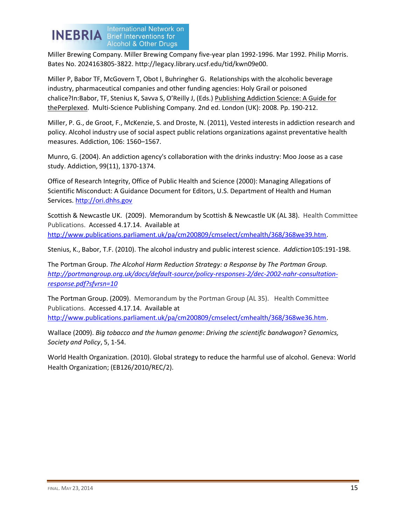

Miller Brewing Company. Miller Brewing Company five-year plan 1992-1996. Mar 1992. Philip Morris. Bates No. 2024163805-3822. http://legacy.library.ucsf.edu/tid/kwn09e00.

Miller P, Babor TF, McGovern T, Obot I, Buhringher G. Relationships with the alcoholic beverage industry, pharmaceutical companies and other funding agencies: Holy Grail or poisoned chalice?In:Babor, TF, Stenius K, Savva S, O'Reilly J, (Eds.) Publishing Addiction Science: A Guide for thePerplexed. Multi-Science Publishing Company. 2nd ed. London (UK): 2008. Pp. 190-212.

Miller, P. G., de Groot, F., McKenzie, S. and Droste, N. (2011), Vested interests in addiction research and policy. Alcohol industry use of social aspect public relations organizations against preventative health measures. Addiction, 106: 1560–1567.

Munro, G. (2004). An addiction agency's collaboration with the drinks industry: Moo Joose as a case study. Addiction, 99(11), 1370-1374.

Office of Research Integrity, Office of Public Health and Science (2000): Managing Allegations of Scientific Misconduct: A Guidance Document for Editors, U.S. Department of Health and Human Services. http://ori.dhhs.gov

Scottish & Newcastle UK. (2009). Memorandum by Scottish & Newcastle UK (AL 38). Health Committee Publications. Accessed 4.17.14. Available at [http://www.publications.parliament.uk/pa/cm200809/cmselect/cmhealth/368/368we39.htm.](http://www.publications.parliament.uk/pa/cm200809/cmselect/cmhealth/368/368we39.htm)

Stenius, K., Babor, T.F. (2010). The alcohol industry and public interest science. *Addiction*105:191-198.

The Portman Group. *The Alcohol Harm Reduction Strategy: a Response by The Portman Group. [http://portmangroup.org.uk/docs/default-source/policy-responses-2/dec-2002-nahr-consultation](http://portmangroup.org.uk/docs/default-source/policy-responses-2/dec-2002-nahr-consultation-response.pdf?sfvrsn=10)[response.pdf?sfvrsn=10](http://portmangroup.org.uk/docs/default-source/policy-responses-2/dec-2002-nahr-consultation-response.pdf?sfvrsn=10)*

The Portman Group. (2009). Memorandum by the Portman Group (AL 35). Health Committee Publications. Accessed 4.17.14. Available at [http://www.publications.parliament.uk/pa/cm200809/cmselect/cmhealth/368/368we36.htm.](http://www.publications.parliament.uk/pa/cm200809/cmselect/cmhealth/368/368we36.htm)

Wallace (2009). *Big tobacco and the human genome*: *Driving the scientific bandwagon*? *Genomics, Society and Policy*, 5, 1-54.

World Health Organization. (2010). Global strategy to reduce the harmful use of alcohol. Geneva: World Health Organization; (EB126/2010/REC/2).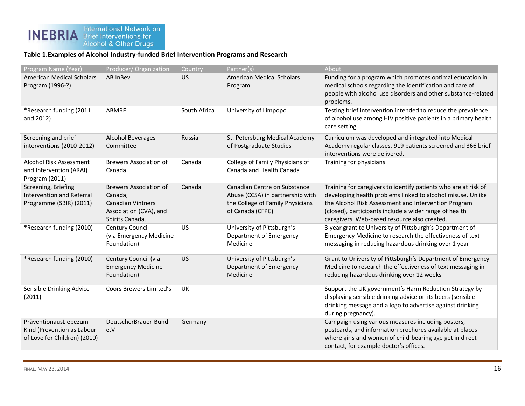### **Table 1.Examples of Alcohol Industry-funded Brief Intervention Programs and Research**

| Program Name (Year)                                                                 | Producer/Organization                                                                                             | Country      | Partner(s)                                                                                                               | About                                                                                                                                                                                                                                                                                            |
|-------------------------------------------------------------------------------------|-------------------------------------------------------------------------------------------------------------------|--------------|--------------------------------------------------------------------------------------------------------------------------|--------------------------------------------------------------------------------------------------------------------------------------------------------------------------------------------------------------------------------------------------------------------------------------------------|
| <b>American Medical Scholars</b><br>Program (1996-?)                                | AB InBev                                                                                                          | <b>US</b>    | <b>American Medical Scholars</b><br>Program                                                                              | Funding for a program which promotes optimal education in<br>medical schools regarding the identification and care of<br>people with alcohol use disorders and other substance-related<br>problems.                                                                                              |
| *Research funding (2011<br>and 2012)                                                | ABMRF                                                                                                             | South Africa | University of Limpopo                                                                                                    | Testing brief intervention intended to reduce the prevalence<br>of alcohol use among HIV positive patients in a primary health<br>care setting.                                                                                                                                                  |
| Screening and brief<br>interventions (2010-2012)                                    | <b>Alcohol Beverages</b><br>Committee                                                                             | Russia       | St. Petersburg Medical Academy<br>of Postgraduate Studies                                                                | Curriculum was developed and integrated into Medical<br>Academy regular classes. 919 patients screened and 366 brief<br>interventions were delivered.                                                                                                                                            |
| Alcohol Risk Assessment<br>and Intervention (ARAI)<br>Program (2011)                | <b>Brewers Association of</b><br>Canada                                                                           | Canada       | College of Family Physicians of<br>Canada and Health Canada                                                              | Training for physicians                                                                                                                                                                                                                                                                          |
| Screening, Briefing<br>Intervention and Referral<br>Programme (SBIR) (2011)         | <b>Brewers Association of</b><br>Canada,<br><b>Canadian Vintners</b><br>Association (CVA), and<br>Spirits Canada. | Canada       | Canadian Centre on Substance<br>Abuse (CCSA) in partnership with<br>the College of Family Physicians<br>of Canada (CFPC) | Training for caregivers to identify patients who are at risk of<br>developing health problems linked to alcohol misuse. Unlike<br>the Alcohol Risk Assessment and Intervention Program<br>(closed), participants include a wider range of health<br>caregivers. Web-based resource also created. |
| *Research funding (2010)                                                            | Century Council<br>(via Emergency Medicine<br>Foundation)                                                         | US           | University of Pittsburgh's<br>Department of Emergency<br>Medicine                                                        | 3 year grant to University of Pittsburgh's Department of<br>Emergency Medicine to research the effectiveness of text<br>messaging in reducing hazardous drinking over 1 year                                                                                                                     |
| *Research funding (2010)                                                            | Century Council (via<br><b>Emergency Medicine</b><br>Foundation)                                                  | <b>US</b>    | University of Pittsburgh's<br>Department of Emergency<br>Medicine                                                        | Grant to University of Pittsburgh's Department of Emergency<br>Medicine to research the effectiveness of text messaging in<br>reducing hazardous drinking over 12 weeks                                                                                                                          |
| Sensible Drinking Advice<br>(2011)                                                  | <b>Coors Brewers Limited's</b>                                                                                    | UK           |                                                                                                                          | Support the UK government's Harm Reduction Strategy by<br>displaying sensible drinking advice on its beers (sensible<br>drinking message and a logo to advertise against drinking<br>during pregnancy).                                                                                          |
| PräventionausLiebezum<br>Kind (Prevention as Labour<br>of Love for Children) (2010) | DeutscherBrauer-Bund<br>e.V                                                                                       | Germany      |                                                                                                                          | Campaign using various measures including posters,<br>postcards, and information brochures available at places<br>where girls and women of child-bearing age get in direct<br>contact, for example doctor's offices.                                                                             |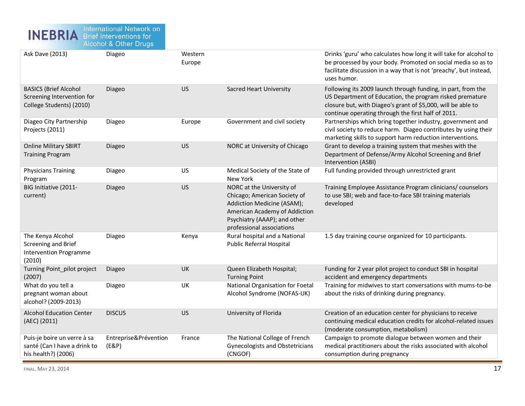

| <b>Ask Dave (2013)</b>                                                                 | Diageo                       | Western<br>Europe |                                                                                                                                                                                       | Drinks 'guru' who calculates how long it will take for alcohol to<br>be processed by your body. Promoted on social media so as to<br>facilitate discussion in a way that is not 'preachy', but instead,<br>uses humor.                         |
|----------------------------------------------------------------------------------------|------------------------------|-------------------|---------------------------------------------------------------------------------------------------------------------------------------------------------------------------------------|------------------------------------------------------------------------------------------------------------------------------------------------------------------------------------------------------------------------------------------------|
| <b>BASICS (Brief Alcohol</b><br>Screening Intervention for<br>College Students) (2010) | Diageo                       | <b>US</b>         | <b>Sacred Heart University</b>                                                                                                                                                        | Following its 2009 launch through funding, in part, from the<br>US Department of Education, the program risked premature<br>closure but, with Diageo's grant of \$5,000, will be able to<br>continue operating through the first half of 2011. |
| Diageo City Partnership<br>Projects (2011)                                             | Diageo                       | Europe            | Government and civil society                                                                                                                                                          | Partnerships which bring together industry, government and<br>civil society to reduce harm. Diageo contributes by using their<br>marketing skills to support harm reduction interventions.                                                     |
| <b>Online Military SBIRT</b><br><b>Training Program</b>                                | Diageo                       | <b>US</b>         | NORC at University of Chicago                                                                                                                                                         | Grant to develop a training system that meshes with the<br>Department of Defense/Army Alcohol Screening and Brief<br>Intervention (ASBI)                                                                                                       |
| <b>Physicians Training</b><br>Program                                                  | Diageo                       | US                | Medical Society of the State of<br>New York                                                                                                                                           | Full funding provided through unrestricted grant                                                                                                                                                                                               |
| BIG Initiative (2011-<br>current)                                                      | Diageo                       | <b>US</b>         | NORC at the University of<br>Chicago; American Society of<br>Addiction Medicine (ASAM);<br>American Academy of Addiction<br>Psychiatry (AAAP); and other<br>professional associations | Training Employee Assistance Program clinicians/ counselors<br>to use SBI; web and face-to-face SBI training materials<br>developed                                                                                                            |
| The Kenya Alcohol<br>Screening and Brief<br><b>Intervention Programme</b><br>(2010)    | Diageo                       | Kenya             | Rural hospital and a National<br>Public Referral Hospital                                                                                                                             | 1.5 day training course organized for 10 participants.                                                                                                                                                                                         |
| Turning Point_pilot project<br>(2007)                                                  | Diageo                       | UK                | Queen Elizabeth Hospital;<br><b>Turning Point</b>                                                                                                                                     | Funding for 2 year pilot project to conduct SBI in hospital<br>accident and emergency departments                                                                                                                                              |
| What do you tell a<br>pregnant woman about<br>alcohol? (2009-2013)                     | Diageo                       | UK                | National Organisation for Foetal<br>Alcohol Syndrome (NOFAS-UK)                                                                                                                       | Training for midwives to start conversations with mums-to-be<br>about the risks of drinking during pregnancy.                                                                                                                                  |
| <b>Alcohol Education Center</b><br>(AEC) (2011)                                        | <b>DISCUS</b>                | <b>US</b>         | University of Florida                                                                                                                                                                 | Creation of an education center for physicians to receive<br>continuing medical education credits for alcohol-related issues<br>(moderate consumption, metabolism)                                                                             |
| Puis-je boire un verre à sa<br>santé (Can I have a drink to<br>his health?) (2006)     | Entreprise⪻évention<br>(EBP) | France            | The National College of French<br><b>Gynecologists and Obstetricians</b><br>(CNGOF)                                                                                                   | Campaign to promote dialogue between women and their<br>medical practitioners about the risks associated with alcohol<br>consumption during pregnancy                                                                                          |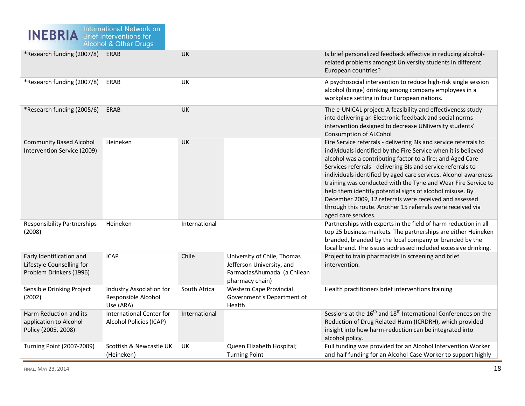| *Research funding (2007/8)                                                       | ERAB                                                                | UK            |                                                                                                            | Is brief personalized feedback effective in reducing alcohol-<br>related problems amongst University students in different<br>European countries?                                                                                                                                                                                                                                                                                                                                                                                                                                                               |
|----------------------------------------------------------------------------------|---------------------------------------------------------------------|---------------|------------------------------------------------------------------------------------------------------------|-----------------------------------------------------------------------------------------------------------------------------------------------------------------------------------------------------------------------------------------------------------------------------------------------------------------------------------------------------------------------------------------------------------------------------------------------------------------------------------------------------------------------------------------------------------------------------------------------------------------|
| *Research funding (2007/8)                                                       | ERAB                                                                | UK            |                                                                                                            | A psychosocial intervention to reduce high-risk single session<br>alcohol (binge) drinking among company employees in a<br>workplace setting in four European nations.                                                                                                                                                                                                                                                                                                                                                                                                                                          |
| *Research funding (2005/6)                                                       | ERAB                                                                | <b>UK</b>     |                                                                                                            | The e-UNICAL project: A feasibility and effectiveness study<br>into delivering an Electronic feedback and social norms<br>intervention designed to decrease UNIiversity students'<br><b>Consumption of ALCohol</b>                                                                                                                                                                                                                                                                                                                                                                                              |
| <b>Community Based Alcohol</b><br>Intervention Service (2009)                    | Heineken                                                            | UK            |                                                                                                            | Fire Service referrals - delivering BIs and service referrals to<br>individuals identified by the Fire Service when it is believed<br>alcohol was a contributing factor to a fire; and Aged Care<br>Services referrals - delivering BIs and service referrals to<br>individuals identified by aged care services. Alcohol awareness<br>training was conducted with the Tyne and Wear Fire Service to<br>help them identify potential signs of alcohol misuse. By<br>December 2009, 12 referrals were received and assessed<br>through this route. Another 15 referrals were received via<br>aged care services. |
| <b>Responsibility Partnerships</b><br>(2008)                                     | Heineken                                                            | International |                                                                                                            | Partnerships with experts in the field of harm reduction in all<br>top 25 business markets. The partnerships are either Heineken<br>branded, branded by the local company or branded by the<br>local brand. The issues addressed included excessive drinking.                                                                                                                                                                                                                                                                                                                                                   |
| Early Identification and<br>Lifestyle Counselling for<br>Problem Drinkers (1996) | <b>ICAP</b>                                                         | Chile         | University of Chile, Thomas<br>Jefferson University, and<br>FarmaciasAhumada (a Chilean<br>pharmacy chain) | Project to train pharmacists in screening and brief<br>intervention.                                                                                                                                                                                                                                                                                                                                                                                                                                                                                                                                            |
| Sensible Drinking Project<br>(2002)                                              | <b>Industry Association for</b><br>Responsible Alcohol<br>Use (ARA) | South Africa  | Western Cape Provincial<br>Government's Department of<br>Health                                            | Health practitioners brief interventions training                                                                                                                                                                                                                                                                                                                                                                                                                                                                                                                                                               |
| Harm Reduction and its<br>application to Alcohol<br>Policy (2005, 2008)          | <b>International Center for</b><br>Alcohol Policies (ICAP)          | International |                                                                                                            | Sessions at the 16 <sup>th</sup> and 18 <sup>th</sup> International Conferences on the<br>Reduction of Drug Related Harm (ICRDRH), which provided<br>insight into how harm-reduction can be integrated into<br>alcohol policy.                                                                                                                                                                                                                                                                                                                                                                                  |
| <b>Turning Point (2007-2009)</b>                                                 | Scottish & Newcastle UK<br>(Heineken)                               | UK            | Queen Elizabeth Hospital;<br><b>Turning Point</b>                                                          | Full funding was provided for an Alcohol Intervention Worker<br>and half funding for an Alcohol Case Worker to support highly                                                                                                                                                                                                                                                                                                                                                                                                                                                                                   |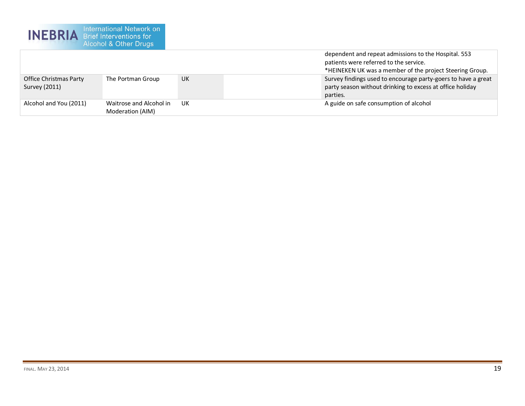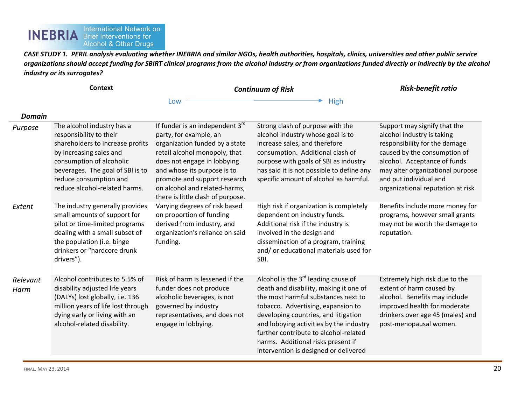#### International Network on<br>Brief Interventions for **INEBRIA Alcohol & Other Drugs**

*CASE STUDY 1. PERIL analysis evaluating whether INEBRIA and similar NGOs, health authorities, hospitals, clinics, universities and other public service organizations should accept funding for SBIRT clinical programs from the alcohol industry or from organizations funded directly or indirectly by the alcohol industry or its surrogates?*

**Context** *Continuum of Risk*

*Risk-benefit ratio*

Low **High** 

| <b>Domain</b>    |                                                                                                                                                                                                                                                 |                                                                                                                                                                                                                                                                                                              |                                                                                                                                                                                                                                                                                                                                                                         |                                                                                                                                                                                                                                                                |
|------------------|-------------------------------------------------------------------------------------------------------------------------------------------------------------------------------------------------------------------------------------------------|--------------------------------------------------------------------------------------------------------------------------------------------------------------------------------------------------------------------------------------------------------------------------------------------------------------|-------------------------------------------------------------------------------------------------------------------------------------------------------------------------------------------------------------------------------------------------------------------------------------------------------------------------------------------------------------------------|----------------------------------------------------------------------------------------------------------------------------------------------------------------------------------------------------------------------------------------------------------------|
| Purpose          | The alcohol industry has a<br>responsibility to their<br>shareholders to increase profits<br>by increasing sales and<br>consumption of alcoholic<br>beverages. The goal of SBI is to<br>reduce consumption and<br>reduce alcohol-related harms. | If funder is an independent 3 <sup>rd</sup><br>party, for example, an<br>organization funded by a state<br>retail alcohol monopoly, that<br>does not engage in lobbying<br>and whose its purpose is to<br>promote and support research<br>on alcohol and related-harms,<br>there is little clash of purpose. | Strong clash of purpose with the<br>alcohol industry whose goal is to<br>increase sales, and therefore<br>consumption. Additional clash of<br>purpose with goals of SBI as industry<br>has said it is not possible to define any<br>specific amount of alcohol as harmful.                                                                                              | Support may signify that the<br>alcohol industry is taking<br>responsibility for the damage<br>caused by the consumption of<br>alcohol. Acceptance of funds<br>may alter organizational purpose<br>and put individual and<br>organizational reputation at risk |
| Extent           | The industry generally provides<br>small amounts of support for<br>pilot or time-limited programs<br>dealing with a small subset of<br>the population (i.e. binge<br>drinkers or "hardcore drunk<br>drivers").                                  | Varying degrees of risk based<br>on proportion of funding<br>derived from industry, and<br>organization's reliance on said<br>funding.                                                                                                                                                                       | High risk if organization is completely<br>dependent on industry funds.<br>Additional risk if the industry is<br>involved in the design and<br>dissemination of a program, training<br>and/or educational materials used for<br>SBI.                                                                                                                                    | Benefits include more money for<br>programs, however small grants<br>may not be worth the damage to<br>reputation.                                                                                                                                             |
| Relevant<br>Harm | Alcohol contributes to 5.5% of<br>disability adjusted life years<br>(DALYs) lost globally, i.e. 136<br>million years of life lost through<br>dying early or living with an<br>alcohol-related disability.                                       | Risk of harm is lessened if the<br>funder does not produce<br>alcoholic beverages, is not<br>governed by industry<br>representatives, and does not<br>engage in lobbying.                                                                                                                                    | Alcohol is the $3rd$ leading cause of<br>death and disability, making it one of<br>the most harmful substances next to<br>tobacco. Advertising, expansion to<br>developing countries, and litigation<br>and lobbying activities by the industry<br>further contribute to alcohol-related<br>harms. Additional risks present if<br>intervention is designed or delivered | Extremely high risk due to the<br>extent of harm caused by<br>alcohol. Benefits may include<br>improved health for moderate<br>drinkers over age 45 (males) and<br>post-menopausal women.                                                                      |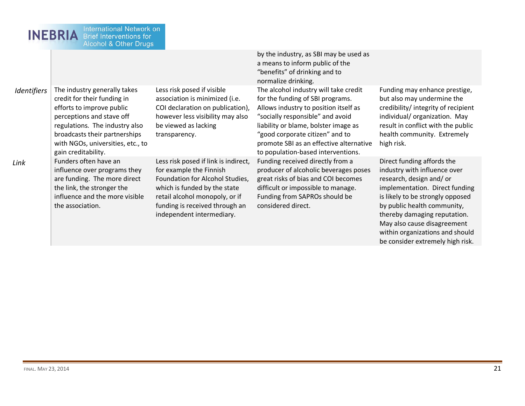| <b>International Network on</b><br><b>INEBRIA</b><br><b>Brief Interventions for</b><br><b>Alcohol &amp; Other Drugs</b> |                                                                                                                                                                                                                                                      |                                                                                                                                                                                                                                     |                                                                                                                                                                                                                                                                                                                    |                                                                                                                                                                                                                                                                                              |  |  |
|-------------------------------------------------------------------------------------------------------------------------|------------------------------------------------------------------------------------------------------------------------------------------------------------------------------------------------------------------------------------------------------|-------------------------------------------------------------------------------------------------------------------------------------------------------------------------------------------------------------------------------------|--------------------------------------------------------------------------------------------------------------------------------------------------------------------------------------------------------------------------------------------------------------------------------------------------------------------|----------------------------------------------------------------------------------------------------------------------------------------------------------------------------------------------------------------------------------------------------------------------------------------------|--|--|
|                                                                                                                         |                                                                                                                                                                                                                                                      |                                                                                                                                                                                                                                     | by the industry, as SBI may be used as<br>a means to inform public of the<br>"benefits" of drinking and to<br>normalize drinking.                                                                                                                                                                                  |                                                                                                                                                                                                                                                                                              |  |  |
| Identifiers                                                                                                             | The industry generally takes<br>credit for their funding in<br>efforts to improve public<br>perceptions and stave off<br>regulations. The industry also<br>broadcasts their partnerships<br>with NGOs, universities, etc., to<br>gain creditability. | Less risk posed if visible<br>association is minimized (i.e.<br>COI declaration on publication),<br>however less visibility may also<br>be viewed as lacking<br>transparency.                                                       | The alcohol industry will take credit<br>for the funding of SBI programs.<br>Allows industry to position itself as<br>"socially responsible" and avoid<br>liability or blame, bolster image as<br>"good corporate citizen" and to<br>promote SBI as an effective alternative<br>to population-based interventions. | Funding may enhance prestige,<br>but also may undermine the<br>credibility/integrity of recipient<br>individual/organization. May<br>result in conflict with the public<br>health community. Extremely<br>high risk.                                                                         |  |  |
| Link                                                                                                                    | Funders often have an<br>influence over programs they<br>are funding. The more direct<br>the link, the stronger the<br>influence and the more visible<br>the association.                                                                            | Less risk posed if link is indirect,<br>for example the Finnish<br>Foundation for Alcohol Studies,<br>which is funded by the state<br>retail alcohol monopoly, or if<br>funding is received through an<br>independent intermediary. | Funding received directly from a<br>producer of alcoholic beverages poses<br>great risks of bias and COI becomes<br>difficult or impossible to manage.<br>Funding from SAPROs should be<br>considered direct.                                                                                                      | Direct funding affords the<br>industry with influence over<br>research, design and/or<br>implementation. Direct funding<br>is likely to be strongly opposed<br>by public health community,<br>thereby damaging reputation.<br>May also cause disagreement<br>within organizations and should |  |  |

be consider extremely high risk.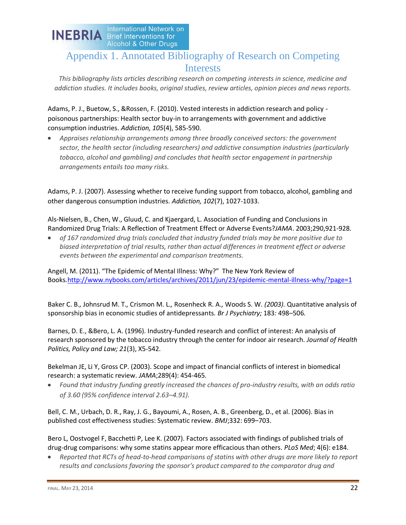

# Appendix 1. Annotated Bibliography of Research on Competing Interests

*This bibliography lists articles describing research on competing interests in science, medicine and addiction studies. It includes books, original studies, review articles, opinion pieces and news reports.*

Adams, P. J., Buetow, S., &Rossen, F. (2010). Vested interests in addiction research and policy poisonous partnerships: Health sector buy-in to arrangements with government and addictive consumption industries. *Addiction, 105*(4), 585-590.

*Appraises relationship arrangements among three broadly conceived sectors: the government sector, the health sector (including researchers) and addictive consumption industries (particularly tobacco, alcohol and gambling) and concludes that health sector engagement in partnership arrangements entails too many risks.* 

Adams, P. J. (2007). Assessing whether to receive funding support from tobacco, alcohol, gambling and other dangerous consumption industries. *Addiction, 102*(7), 1027-1033.

Als-Nielsen, B., Chen, W., Gluud, C. and Kjaergard, L. Association of Funding and Conclusions in Randomized Drug Trials: A Reflection of Treatment Effect or Adverse Events?*JAMA*. 2003;290,921-928.

*of 167 randomized drug trials concluded that industry funded trials may be more positive due to biased interpretation of trial results, rather than actual differences in treatment effect or adverse events between the experimental and comparison treatments.*

Angell, M. (2011). "The Epidemic of Mental Illness: Why?" The New York Review of Books*.*<http://www.nybooks.com/articles/archives/2011/jun/23/epidemic-mental-illness-why/?page=1>

Baker C. B.*,* Johnsrud M. T.*,* Crismon M. L.*,* Rosenheck R. A.*,* Woods S. W. *(2003).* Quantitative analysis of sponsorship bias in economic studies of antidepressants*. Br J Psychiatry;* 183*:* 498*–*506*.* 

Barnes, D. E., &Bero, L. A. (1996). Industry-funded research and conflict of interest: An analysis of research sponsored by the tobacco industry through the center for indoor air research. *Journal of Health Politics, Policy and Law; 21*(3), X5-542.

Bekelman JE, Li Y, Gross CP. (2003). Scope and impact of financial conflicts of interest in biomedical research: a systematic review. *JAMA*;289(4): 454-465.

*Found that industry funding greatly increased the chances of pro-industry results, with an odds ratio of 3.60 (95% confidence interval 2.63–4.91).*

Bell, C. M., Urbach, D. R., Ray, J. G., Bayoumi, A., Rosen, A. B., Greenberg, D., et al. (2006). Bias in published cost effectiveness studies: Systematic review. *BMJ*;332: 699–703.

Bero L, Oostvogel F, Bacchetti P, Lee K. (2007). Factors associated with findings of published trials of drug-drug comparisons: why some statins appear more efficacious than others. *PLoS Med*; 4(6): e184.

*Reported that RCTs of head-to-head comparisons of statins with other drugs are more likely to report*  results and conclusions favoring the sponsor's product compared to the comparator drug and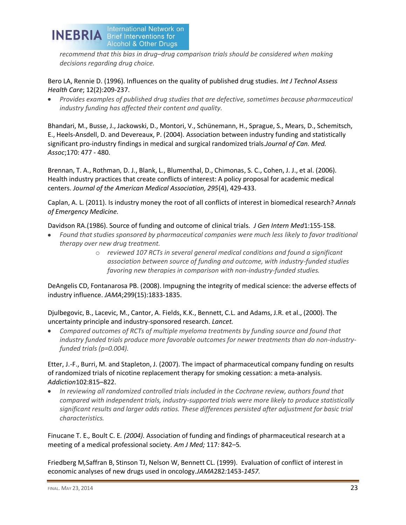

*recommend that this bias in drug–drug comparison trials should be considered when making decisions regarding drug choice.*

Bero LA, Rennie D. (1996). Influences on the quality of published drug studies. *Int J Technol Assess Health Care*; 12(2):209-237.

*Provides examples of published drug studies that are defective, sometimes because pharmaceutical industry funding has affected their content and quality.*

Bhandari, M., Busse, J., Jackowski, D., Montori, V., Schünemann, H., Sprague, S., Mears, D., Schemitsch, E., Heels-Ansdell, D. and Devereaux, P. (2004). Association between industry funding and statistically significant pro-industry findings in medical and surgical randomized trials.*Journal of Can. Med. Assoc*;170: 477 - 480.

Brennan, T. A., Rothman, D. J., Blank, L., Blumenthal, D., Chimonas, S. C., Cohen, J. J., et al. (2006). Health industry practices that create conflicts of interest: A policy proposal for academic medical centers. *Journal of the American Medical Association, 295*(4), 429-433.

Caplan, A. L. (2011). Is industry money the root of all conflicts of interest in biomedical research? *Annals of Emergency Medicine.*

Davidson RA.(1986). Source of funding and outcome of clinical trials. *J Gen Intern Med*1:155-158.

- *Found that studies sponsored by pharmaceutical companies were much less likely to favor traditional therapy over new drug treatment.* 
	- o *reviewed 107 RCTs in several general medical conditions and found a significant association between source of funding and outcome, with industry-funded studies favoring new therapies in comparison with non-industry-funded studies.*

DeAngelis CD, Fontanarosa PB. (2008). Impugning the integrity of medical science: the adverse effects of industry influence. *JAMA*;299(15):1833-1835.

Djulbegovic, B., Lacevic, M., Cantor, A. Fields, K.K., Bennett, C.L. and Adams, J.R. et al., (2000). The uncertainty principle and industry-sponsored research. *Lancet.* 

*Compared outcomes of RCTs of multiple myeloma treatments by funding source and found that industry funded trials produce more favorable outcomes for newer treatments than do non-industryfunded trials (p=0.004).*

Etter, J.-F., Burri, M. and Stapleton, J. (2007). The impact of pharmaceutical company funding on results of randomized trials of nicotine replacement therapy for smoking cessation: a meta-analysis. *Addiction*102:815–822.

*In reviewing all randomized controlled trials included in the Cochrane review, authors found that compared with independent trials, industry-supported trials were more likely to produce statistically significant results and larger odds ratios. These differences persisted after adjustment for basic trial characteristics.*

Finucane T. E.*,* Boult C. E*. (2004).* Association of funding and findings of pharmaceutical research at a meeting of a medical professional society*. Am J Med;* 117*:* 842*–*5*.* 

Friedberg M*,*Saffran B, Stinson TJ, Nelson W, Bennett CL. (1999). Evaluation of conflict of interest in economic analyses of new drugs used in oncology.*JAMA*282*:*1453*-1457.*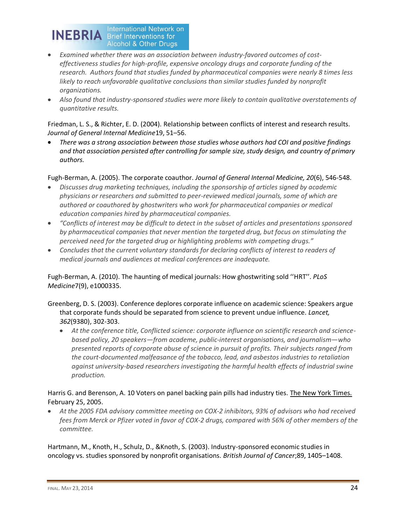

- *Examined whether there was an association between industry-favored outcomes of costeffectiveness studies for high-profile, expensive oncology drugs and corporate funding of the research. Authors found that studies funded by pharmaceutical companies were nearly 8 times less*  likely to reach unfavorable qualitative conclusions than similar studies funded by nonprofit *organizations.*
- *Also found that industry-sponsored studies were more likely to contain qualitative overstatements of quantitative results.*

Friedman, L. S., & Richter, E. D. (2004). Relationship between conflicts of interest and research results. *Journal of General Internal Medicine*19, 51–56.

*There was a strong association between those studies whose authors had COI and positive findings and that association persisted after controlling for sample size, study design, and country of primary authors.*

Fugh-Berman, A. (2005). The corporate coauthor. *Journal of General Internal Medicine, 20*(6), 546-548.

- *Discusses drug marketing techniques, including the sponsorship of articles signed by academic physicians or researchers and submitted to peer-reviewed medical journals, some of which are authored or coauthored by ghostwriters who work for pharmaceutical companies or medical education companies hired by pharmaceutical companies.*
- *"Conflicts of interest may be difficult to detect in the subset of articles and presentations sponsored by pharmaceutical companies that never mention the targeted drug, but focus on stimulating the perceived need for the targeted drug or highlighting problems with competing drugs."*
- *Concludes that the current voluntary standards for declaring conflicts of interest to readers of medical journals and audiences at medical conferences are inadequate.*

Fugh-Berman, A. (2010). The haunting of medical journals: How ghostwriting sold ''HRT''. *PLoS Medicine*7(9), e1000335.

- Greenberg, D. S. (2003). Conference deplores corporate influence on academic science: Speakers argue that corporate funds should be separated from science to prevent undue influence. *Lancet, 362*(9380), 302-303.
	- *At the conference title, Conflicted science: corporate influence on scientific research and sciencebased policy, 20 speakers—from academe, public-interest organisations, and journalism—who presented reports of corporate abuse of science in pursuit of profits. Their subjects ranged from the court-documented malfeasance of the tobacco, lead, and asbestos industries to retaliation against university-based researchers investigating the harmful health effects of industrial swine production.*

### Harris G. and Berenson, A. 10 Voters on panel backing pain pills had industry ties. The New York Times. February 25, 2005.

*At the 2005 FDA advisory committee meeting on COX-2 inhibitors, 93% of advisors who had received fees from Merck or Pfizer voted in favor of COX-2 drugs, compared with 56% of other members of the committee.*

Hartmann, M., Knoth, H., Schulz, D., &Knoth, S. (2003). Industry-sponsored economic studies in oncology vs. studies sponsored by nonprofit organisations. *British Journal of Cancer*;89, 1405–1408.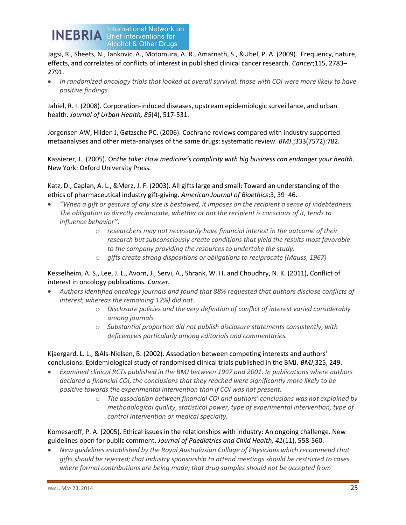

Jagsi, R., Sheets, N., Jankovic, A., Motomura, A. R., Amarnath, S., &Ubel, P. A. (2009). Frequency, nature, effects, and correlates of conflicts of interest in published clinical cancer research. *Cancer*;115, 2783– 2791.

*In randomized oncology trials that looked at overall survival, those with COI were more likely to have*   $\bullet$  . *positive findings.*

Jahiel, R. I. (2008). Corporation-induced diseases, upstream epidemiologic surveillance, and urban health. *Journal of Urban Health, 85*(4), 517-531.

Jorgensen AW, Hilden J, Gøtzsche PC. (2006). Cochrane reviews compared with industry supported metaanalyses and other meta-analyses of the same drugs: systematic review. *BMJ*.;333(7572):782.

Kassierer, J. (2005). On*the take: How medicine's complicity with big business can endanger your health*. New York: Oxford University Press.

Katz, D., Caplan, A. L., &Merz, J. F. (2003). All gifts large and small: Toward an understanding of the ethics of pharmaceutical industry gift-giving. *American Journal of Bioethics*;3, 39–46.

- *''When a gift or gesture of any size is bestowed, it imposes on the recipient a sense of indebtedness. The obligation to directly reciprocate, whether or not the recipient is conscious of it, tends to influence behavior''.*
	- o *researchers may not necessarily have financial interest in the outcome of their research but subconsciously create conditions that yield the results most favorable to the company providing the resources to undertake the study.*
	- o *gifts create strong dispositions or obligations to reciprocate (Mauss, 1967)*

### Kesselheim, A. S., Lee, J. L., Avorn, J., Servi, A., Shrank, W. H. and Choudhry, N. K. (2011), Conflict of interest in oncology publications. *Cancer.*

- *Authors identified oncology journals and found that 88% requested that authors disclose conflicts of interest, whereas the remaining 12%) did not.*
	- o *Disclosure policies and the very definition of conflict of interest varied considerably among journals*
	- o *Substantial proportion did not publish disclosure statements consistently, with deficiencies particularly among editorials and commentaries.*

Kjaergard, L. L., &Als-Nielsen, B. (2002). Association between competing interests and authors' conclusions: Epidemiological study of randomised clinical trials published in the BMJ. *BMJ*;325, 249.

- *Examined clinical RCTs published in the BMJ between 1997 and 2001. In publications where authors declared a financial COI, the conclusions that they reached were significantly more likely to be positive towards the experimental intervention than if COI was not present.* 
	- o *The association between financial COI and authors' conclusions was not explained by methodological quality, statistical power, type of experimental intervention, type of control intervention or medical specialty.*

Komesaroff, P. A. (2005). Ethical issues in the relationships with industry: An ongoing challenge. New guidelines open for public comment. *Journal of Paediatrics and Child Health, 41*(11), 558-560.

*New guidelines established by the Royal Australasian Collage of Physicians which recommend that gifts should be rejected; that industry sponsorship to attend meetings should be restricted to cases where formal contributions are being made; that drug samples should not be accepted from*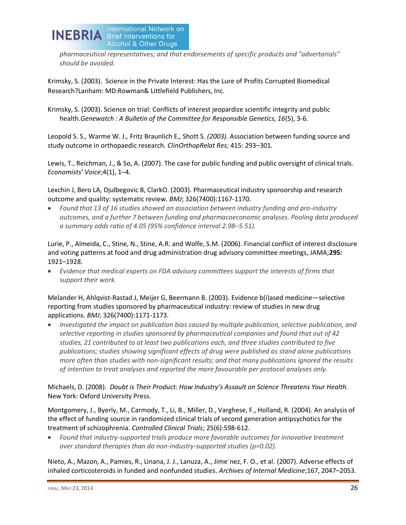

*pharmaceutical representatives; and that endorsements of specific products and "advertorials" should be avoided.* 

Krimsky, S. (2003). Science in the Private Interest: Has the Lure of Profits Corrupted Biomedical Research?Lanham: MD:Rowman& Littlefield Publishers, Inc.

Krimsky, S. (2003). Science on trial: Conflicts of interest jeopardize scientific integrity and public health.*Genewatch : A Bulletin of the Committee for Responsible Genetics, 16*(5), 3-6.

Leopold S. S.*,* Warme W. J.*,* Fritz Braunlich E.*,* Shott S. *(2003).* Association between funding source and study outcome in orthopaedic research*. ClinOrthopRelat Res;* 415*:* 293*–*301*.*

Lewis, T., Reichman, J., & So, A. (2007). The case for public funding and public oversight of clinical trials. *Economists' Voice*;4(1), 1–4.

Lexchin J, Bero LA, Djulbegovic B, ClarkO. (2003). Pharmaceutical industry sponsorship and research outcome and quality: systematic review. *BMJ*; 326(7400):1167-1170.

*Found that 13 of 16 studies showed an association between industry funding and pro-industry outcomes, and a further 7 between funding and pharmacoeconomic analyses. Pooling data produced a summary odds ratio of 4.05 (95% confidence interval 2.98–5.51).*

Lurie, P., Almeida, C., Stine, N., Stine, A.R. and Wolfe, S.M. (2006). Financial conflict of interest disclosure and voting patterns at food and drug administration drug advisory committee meetings, JAMA;**295:** 1921–1928.

*Evidence that medical experts on FDA advisory committees support the interests of firms that*   $\bullet$ *support their work.*

Melander H, Ahlqvist-Rastad J, Meijer G, Beermann B. (2003). Evidence b(i)ased medicine—selective reporting from studies sponsored by pharmaceutical industry: review of studies in new drug applications. *BMJ*; 326(7400):1171-1173.

*Investigated the impact on publication bias caused by multiple publication, selective publication, and selective reporting in studies sponsored by pharmaceutical companies and found that out of 42 studies, 21 contributed to at least two publications each, and three studies contributed to five publications; studies showing significant effects of drug were published as stand alone publications more often than studies with non-significant results; and that many publications ignored the results of intention to treat analyses and reported the more favourable per protocol analyses only.*

Michaels, D. (2008). *Doubt is Their Product: How Industry's Assault on Science Threatens Your Health.*  New York: Oxford University Press.

Montgomery, J., Byerly, M., Carmody, T., Li, B., Miller, D., Varghese, F., Holland, R. (2004). An analysis of the effect of funding source in randomized clinical trials of second generation antipsychotics for the treatment of schizophrenia. *Controlled Clinical Trials*; 25(6):598-612.

*Found that industry-supported trials produce more favorable outcomes for innovative treatment over standard therapies than do non-industry-supported studies (p=0.02).*

Nieto, A., Mazon, A., Pamies, R., Linana, J. J., Lanuza, A., Jime´nez, F. O., et al. (2007). Adverse effects of inhaled corticosteroids in funded and nonfunded studies. *Archives of Internal Medicine*;167, 2047–2053.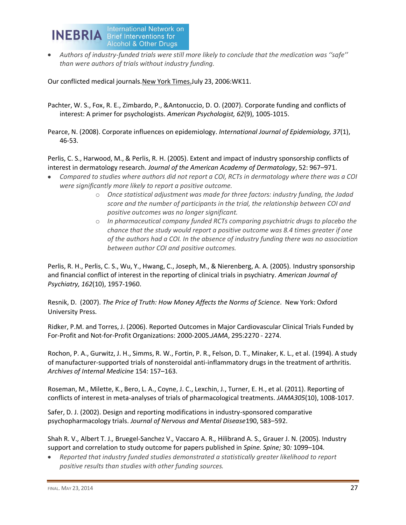

*Authors of industry-funded trials were still more likely to conclude that the medication was ''safe'' than were authors of trials without industry funding.*

Our conflicted medical journals. New York Times. July 23, 2006: WK11.

- Pachter, W. S., Fox, R. E., Zimbardo, P., &Antonuccio, D. O. (2007). Corporate funding and conflicts of interest: A primer for psychologists. *American Psychologist, 62*(9), 1005-1015.
- Pearce, N. (2008). Corporate influences on epidemiology. *International Journal of Epidemiology, 37*(1), 46-53.

Perlis, C. S., Harwood, M., & Perlis, R. H. (2005). Extent and impact of industry sponsorship conflicts of interest in dermatology research. *Journal of the American Academy of Dermatology*, 52: 967–971.

- *Compared to studies where authors did not report a COI, RCTs in dermatology where there was a COI were significantly more likely to report a positive outcome.* 
	- o *Once statistical adjustment was made for three factors: industry funding, the Jadad score and the number of participants in the trial, the relationship between COI and positive outcomes was no longer significant.*
	- o *In pharmaceutical company funded RCTs comparing psychiatric drugs to placebo the chance that the study would report a positive outcome was 8.4 times greater if one of the authors had a COI. In the absence of industry funding there was no association between author COI and positive outcomes.*

Perlis, R. H., Perlis, C. S., Wu, Y., Hwang, C., Joseph, M., & Nierenberg, A. A. (2005). Industry sponsorship and financial conflict of interest in the reporting of clinical trials in psychiatry. *American Journal of Psychiatry, 162*(10), 1957-1960.

Resnik, D. (2007). *The Price of Truth: How Money Affects the Norms of Science*. New York: Oxford University Press.

Ridker, P.M. and Torres, J. (2006). Reported Outcomes in Major Cardiovascular Clinical Trials Funded by For-Profit and Not-for-Profit Organizations: 2000-2005.*JAMA*, 295:2270 - 2274.

Rochon, P. A., Gurwitz, J. H., Simms, R. W., Fortin, P. R., Felson, D. T., Minaker, K. L., et al. (1994). A study of manufacturer-supported trials of nonsteroidal anti-inflammatory drugs in the treatment of arthritis. *Archives of Internal Medicine* 154: 157–163.

Roseman, M., Milette, K., Bero, L. A., Coyne, J. C., Lexchin, J., Turner, E. H., et al. (2011). Reporting of conflicts of interest in meta-analyses of trials of pharmacological treatments. *JAMA305*(10), 1008-1017.

Safer, D. J. (2002). Design and reporting modifications in industry-sponsored comparative psychopharmacology trials. *Journal of Nervous and Mental Disease*190, 583–592.

Shah R. V.*,* Albert T. J.*,* Bruegel-Sanchez V.*,* Vaccaro A. R.*,* Hilibrand A. S.*,* Grauer J. N. (2005)*.* Industry support and correlation to study outcome for papers published in *Spine. Spine;* 30*:* 1099*–*104*.* 

*Reported that industry funded studies demonstrated a statistically greater likelihood to report positive results than studies with other funding sources.*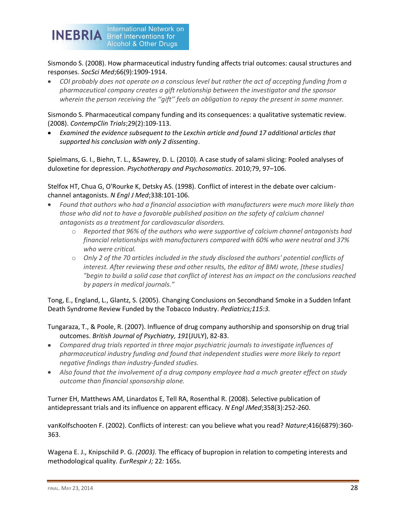

Sismondo S. (2008). How pharmaceutical industry funding affects trial outcomes: causal structures and responses. *SocSci Med*;66(9):1909-1914.

*COI probably does not operate on a conscious level but rather the act of accepting funding from a pharmaceutical company creates a gift relationship between the investigator and the sponsor wherein the person receiving the ''gift'' feels an obligation to repay the present in some manner.* 

Sismondo S. Pharmaceutical company funding and its consequences: a qualitative systematic review. (2008). *ContempClin Trials*;29(2):109-113.

*Examined the evidence subsequent to the Lexchin article and found 17 additional articles that supported his conclusion with only 2 dissenting*.

Spielmans, G. I., Biehn, T. L., &Sawrey, D. L. (2010). A case study of salami slicing: Pooled analyses of duloxetine for depression. *Psychotherapy and Psychosomatics*. 2010;79, 97–106.

Stelfox HT, Chua G, O'Rourke K, Detsky AS. (1998). Conflict of interest in the debate over calciumchannel antagonists. *N Engl J Med*;338:101-106.

- *Found that authors who had a financial association with manufacturers were much more likely than those who did not to have a favorable published position on the safety of calcium channel antagonists as a treatment for cardiovascular disorders.* 
	- o *Reported that 96% of the authors who were supportive of calcium channel antagonists had financial relationships with manufacturers compared with 60% who were neutral and 37% who were critical.*
	- o *Only 2 of the 70 articles included in the study disclosed the authors' potential conflicts of interest. After reviewing these and other results, the editor of BMJ wrote, [these studies] "begin to build a solid case that conflict of interest has an impact on the conclusions reached by papers in medical journals."*

Tong, E., England, L., Glantz, S. (2005). Changing Conclusions on Secondhand Smoke in a Sudden Infant Death Syndrome Review Funded by the Tobacco Industry. *Pediatrics;115:3.*

- Tungaraza, T., & Poole, R. (2007). Influence of drug company authorship and sponsorship on drug trial outcomes. *British Journal of Psychiatry, 191*(JULY), 82-83.
- *Compared drug trials reported in three major psychiatric journals to investigate influences of pharmaceutical industry funding and found that independent studies were more likely to report negative findings than industry-funded studies.*
- *Also found that the involvement of a drug company employee had a much greater effect on study outcome than financial sponsorship alone.*

Turner EH, Matthews AM, Linardatos E, Tell RA, Rosenthal R. (2008). Selective publication of antidepressant trials and its influence on apparent efficacy. *N Engl JMed*;358(3):252-260.

vanKolfschooten F. (2002). Conflicts of interest: can you believe what you read? *Nature*;416(6879):360- 363.

Wagena E. J.*,* Knipschild P. G. *(2003).* The efficacy of bupropion in relation to competing interests and methodological quality*. EurRespir J;* 22*:* 165s*.*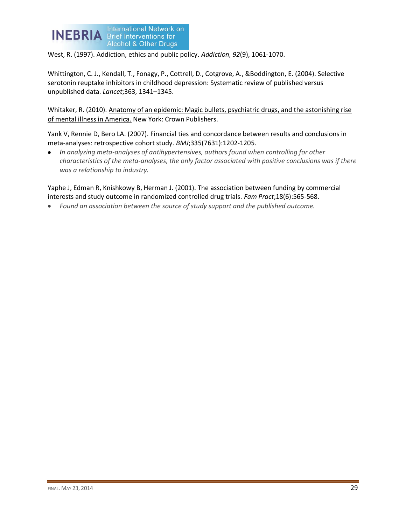

West, R. (1997). Addiction, ethics and public policy. *Addiction, 92*(9), 1061-1070.

Whittington, C. J., Kendall, T., Fonagy, P., Cottrell, D., Cotgrove, A., &Boddington, E. (2004). Selective serotonin reuptake inhibitors in childhood depression: Systematic review of published versus unpublished data. *Lancet*;363, 1341–1345.

Whitaker, R. (2010). Anatomy of an epidemic: Magic bullets, psychiatric drugs, and the astonishing rise of mental illness in America. New York: Crown Publishers.

Yank V, Rennie D, Bero LA. (2007). Financial ties and concordance between results and conclusions in meta-analyses: retrospective cohort study. *BMJ*;335(7631):1202-1205.

*In analyzing meta-analyses of antihypertensives, authors found when controlling for other characteristics of the meta-analyses, the only factor associated with positive conclusions was if there was a relationship to industry.*

Yaphe J, Edman R, Knishkowy B, Herman J. (2001). The association between funding by commercial interests and study outcome in randomized controlled drug trials. *Fam Pract*;18(6):565-568.

*Found an association between the source of study support and the published outcome.*